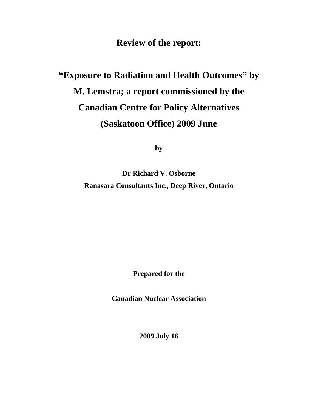**Review of the report:**

# **"Exposure to Radiation and Health Outcomes" by M. Lemstra; a report commissioned by the Canadian Centre for Policy Alternatives (Saskatoon Office) 2009 June**

**by**

**Dr Richard V. Osborne Ranasara Consultants Inc., Deep River, Ontario**

**Prepared for the** 

**Canadian Nuclear Association**

**2009 July 16**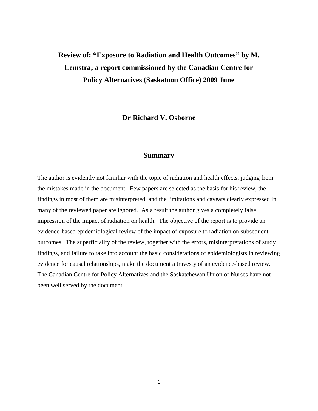# **Review of: "Exposure to Radiation and Health Outcomes" by M. Lemstra; a report commissioned by the Canadian Centre for Policy Alternatives (Saskatoon Office) 2009 June**

**Dr Richard V. Osborne**

## **Summary**

The author is evidently not familiar with the topic of radiation and health effects, judging from the mistakes made in the document. Few papers are selected as the basis for his review, the findings in most of them are misinterpreted, and the limitations and caveats clearly expressed in many of the reviewed paper are ignored. As a result the author gives a completely false impression of the impact of radiation on health. The objective of the report is to provide an evidence-based epidemiological review of the impact of exposure to radiation on subsequent outcomes. The superficiality of the review, together with the errors, misinterpretations of study findings, and failure to take into account the basic considerations of epidemiologists in reviewing evidence for causal relationships, make the document a travesty of an evidence-based review. The Canadian Centre for Policy Alternatives and the Saskatchewan Union of Nurses have not been well served by the document.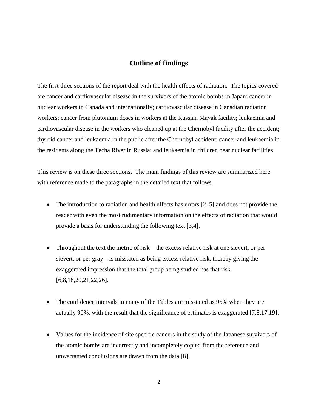## **Outline of findings**

The first three sections of the report deal with the health effects of radiation. The topics covered are cancer and cardiovascular disease in the survivors of the atomic bombs in Japan; cancer in nuclear workers in Canada and internationally; cardiovascular disease in Canadian radiation workers; cancer from plutonium doses in workers at the Russian Mayak facility; leukaemia and cardiovascular disease in the workers who cleaned up at the Chernobyl facility after the accident; thyroid cancer and leukaemia in the public after the Chernobyl accident; cancer and leukaemia in the residents along the Techa River in Russia; and leukaemia in children near nuclear facilities.

This review is on these three sections. The main findings of this review are summarized here with reference made to the paragraphs in the detailed text that follows.

- $\bullet$  The introduction to radiation and health effects has errors [2, 5] and does not provide the reader with even the most rudimentary information on the effects of radiation that would provide a basis for understanding the following text [3,4].
- Throughout the text the metric of risk—the excess relative risk at one sievert, or per sievert, or per gray—is misstated as being excess relative risk, thereby giving the exaggerated impression that the total group being studied has that risk. [6,8,18,20,21,22,26].
- The confidence intervals in many of the Tables are misstated as 95% when they are actually 90%, with the result that the significance of estimates is exaggerated [7,8,17,19].
- Values for the incidence of site specific cancers in the study of the Japanese survivors of the atomic bombs are incorrectly and incompletely copied from the reference and unwarranted conclusions are drawn from the data [8].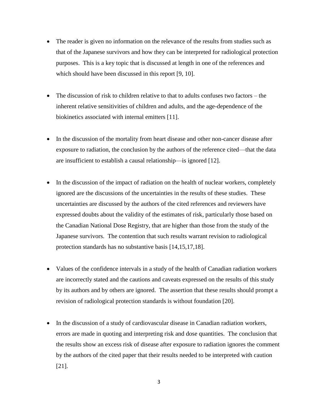- The reader is given no information on the relevance of the results from studies such as that of the Japanese survivors and how they can be interpreted for radiological protection purposes. This is a key topic that is discussed at length in one of the references and which should have been discussed in this report [9, 10].
- The discussion of risk to children relative to that to adults confuses two factors the inherent relative sensitivities of children and adults, and the age-dependence of the biokinetics associated with internal emitters [11].
- In the discussion of the mortality from heart disease and other non-cancer disease after exposure to radiation, the conclusion by the authors of the reference cited—that the data are insufficient to establish a causal relationship—is ignored [12].
- In the discussion of the impact of radiation on the health of nuclear workers, completely ignored are the discussions of the uncertainties in the results of these studies. These uncertainties are discussed by the authors of the cited references and reviewers have expressed doubts about the validity of the estimates of risk, particularly those based on the Canadian National Dose Registry, that are higher than those from the study of the Japanese survivors. The contention that such results warrant revision to radiological protection standards has no substantive basis [14,15,17,18].
- Values of the confidence intervals in a study of the health of Canadian radiation workers are incorrectly stated and the cautions and caveats expressed on the results of this study by its authors and by others are ignored. The assertion that these results should prompt a revision of radiological protection standards is without foundation [20].
- In the discussion of a study of cardiovascular disease in Canadian radiation workers, errors are made in quoting and interpreting risk and dose quantities. The conclusion that the results show an excess risk of disease after exposure to radiation ignores the comment by the authors of the cited paper that their results needed to be interpreted with caution [21].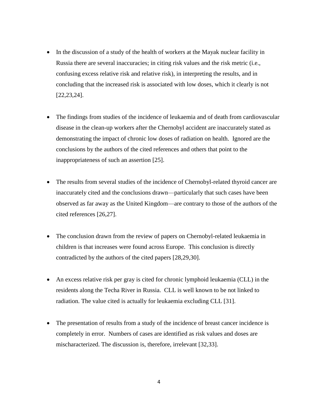- In the discussion of a study of the health of workers at the Mayak nuclear facility in Russia there are several inaccuracies; in citing risk values and the risk metric (i.e., confusing excess relative risk and relative risk), in interpreting the results, and in concluding that the increased risk is associated with low doses, which it clearly is not [22,23,24].
- The findings from studies of the incidence of leukaemia and of death from cardiovascular disease in the clean-up workers after the Chernobyl accident are inaccurately stated as demonstrating the impact of chronic low doses of radiation on health. Ignored are the conclusions by the authors of the cited references and others that point to the inappropriateness of such an assertion [25].
- The results from several studies of the incidence of Chernobyl-related thyroid cancer are inaccurately cited and the conclusions drawn—particularly that such cases have been observed as far away as the United Kingdom—are contrary to those of the authors of the cited references [26,27].
- The conclusion drawn from the review of papers on Chernobyl-related leukaemia in children is that increases were found across Europe. This conclusion is directly contradicted by the authors of the cited papers [28,29,30].
- An excess relative risk per gray is cited for chronic lymphoid leukaemia (CLL) in the residents along the Techa River in Russia. CLL is well known to be not linked to radiation. The value cited is actually for leukaemia excluding CLL [31].
- The presentation of results from a study of the incidence of breast cancer incidence is completely in error. Numbers of cases are identified as risk values and doses are mischaracterized. The discussion is, therefore, irrelevant [32,33].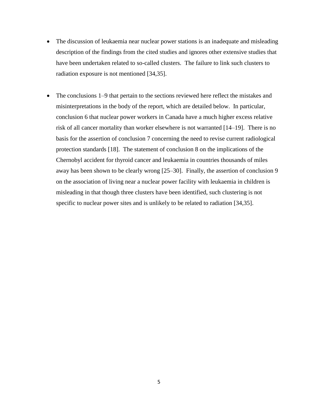- The discussion of leukaemia near nuclear power stations is an inadequate and misleading description of the findings from the cited studies and ignores other extensive studies that have been undertaken related to so-called clusters. The failure to link such clusters to radiation exposure is not mentioned [34,35].
- The conclusions 1–9 that pertain to the sections reviewed here reflect the mistakes and misinterpretations in the body of the report, which are detailed below. In particular, conclusion 6 that nuclear power workers in Canada have a much higher excess relative risk of all cancer mortality than worker elsewhere is not warranted [14–19]. There is no basis for the assertion of conclusion 7 concerning the need to revise current radiological protection standards [18]. The statement of conclusion 8 on the implications of the Chernobyl accident for thyroid cancer and leukaemia in countries thousands of miles away has been shown to be clearly wrong [25–30]. Finally, the assertion of conclusion 9 on the association of living near a nuclear power facility with leukaemia in children is misleading in that though three clusters have been identified, such clustering is not specific to nuclear power sites and is unlikely to be related to radiation [34,35].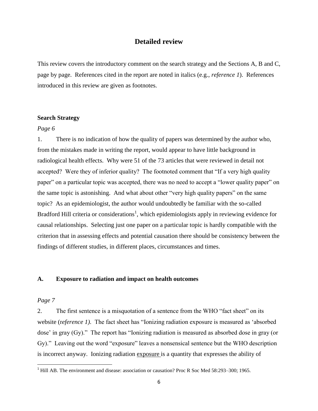#### **Detailed review**

This review covers the introductory comment on the search strategy and the Sections A, B and C, page by page. References cited in the report are noted in italics (e.g., *reference 1*). References introduced in this review are given as footnotes.

#### **Search Strategy**

#### *Page 6*

1. There is no indication of how the quality of papers was determined by the author who, from the mistakes made in writing the report, would appear to have little background in radiological health effects. Why were 51 of the 73 articles that were reviewed in detail not accepted? Were they of inferior quality? The footnoted comment that "If a very high quality paper" on a particular topic was accepted, there was no need to accept a "lower quality paper" on the same topic is astonishing. And what about other "very high quality papers" on the same topic? As an epidemiologist, the author would undoubtedly be familiar with the so-called Bradford Hill criteria or considerations<sup>1</sup>, which epidemiologists apply in reviewing evidence for causal relationships. Selecting just one paper on a particular topic is hardly compatible with the criterion that in assessing effects and potential causation there should be consistency between the findings of different studies, in different places, circumstances and times.

#### **A. Exposure to radiation and impact on health outcomes**

#### *Page 7*

 $\overline{\phantom{a}}$ 

2. The first sentence is a misquotation of a sentence from the WHO "fact sheet" on its website (*reference 1*). The fact sheet has "Ionizing radiation exposure is measured as 'absorbed dose' in gray  $(Gy)$ ." The report has "Ionizing radiation is measured as absorbed dose in gray (or Gy)." Leaving out the word "exposure" leaves a nonsensical sentence but the WHO description is incorrect anyway. Ionizing radiation exposure is a quantity that expresses the ability of

 $<sup>1</sup>$  Hill AB. The environment and disease: association or causation? Proc R Soc Med 58:293–300; 1965.</sup>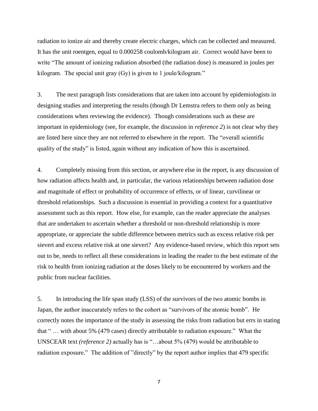radiation to ionize air and thereby create electric charges, which can be collected and measured. It has the unit roentgen, equal to 0.000258 coulomb/kilogram air. Correct would have been to write "The amount of ionizing radiation absorbed (the radiation dose) is measured in joules per kilogram. The special unit gray  $(Gy)$  is given to 1 joule/kilogram."

3. The next paragraph lists considerations that are taken into account by epidemiologists in designing studies and interpreting the results (though Dr Lemstra refers to them only as being considerations when reviewing the evidence). Though considerations such as these are important in epidemiology (see, for example, the discussion in *reference 2*) is not clear why they are listed here since they are not referred to elsewhere in the report. The "overall scientific quality of the study" is listed, again without any indication of how this is ascertained.

4. Completely missing from this section, or anywhere else in the report, is any discussion of how radiation affects health and, in particular, the various relationships between radiation dose and magnitude of effect or probability of occurrence of effects, or of linear, curvilinear or threshold relationships. Such a discussion is essential in providing a context for a quantitative assessment such as this report. How else, for example, can the reader appreciate the analyses that are undertaken to ascertain whether a threshold or non-threshold relationship is more appropriate, or appreciate the subtle difference between metrics such as excess relative risk per sievert and excess relative risk at one sievert? Any evidence-based review, which this report sets out to be, needs to reflect all these considerations in leading the reader to the best estimate of the risk to health from ionizing radiation at the doses likely to be encountered by workers and the public from nuclear facilities.

5. In introducing the life span study (LSS) of the survivors of the two atomic bombs in Japan, the author inaccurately refers to the cohort as "survivors of the atomic bomb". He correctly notes the importance of the study in assessing the risks from radiation but errs in stating that "... with about 5% (479 cases) directly attributable to radiation exposure." What the UNSCEAR text *(reference 2)* actually has is "...about 5% (479) would be attributable to radiation exposure." The addition of "directly" by the report author implies that 479 specific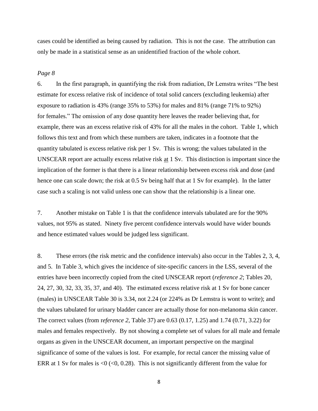cases could be identified as being caused by radiation. This is not the case. The attribution can only be made in a statistical sense as an unidentified fraction of the whole cohort.

#### *Page 8*

6. In the first paragraph, in quantifying the risk from radiation, Dr Lemstra writes "The best" estimate for excess relative risk of incidence of total solid cancers (excluding leukemia) after exposure to radiation is 43% (range 35% to 53%) for males and 81% (range 71% to 92%) for females." The omission of any dose quantity here leaves the reader believing that, for example, there was an excess relative risk of 43% for all the males in the cohort. Table 1, which follows this text and from which these numbers are taken, indicates in a footnote that the quantity tabulated is excess relative risk per 1 Sv. This is wrong; the values tabulated in the UNSCEAR report are actually excess relative risk at 1 Sv. This distinction is important since the implication of the former is that there is a linear relationship between excess risk and dose (and hence one can scale down; the risk at 0.5 Sv being half that at 1 Sv for example). In the latter case such a scaling is not valid unless one can show that the relationship is a linear one.

7. Another mistake on Table 1 is that the confidence intervals tabulated are for the 90% values, not 95% as stated. Ninety five percent confidence intervals would have wider bounds and hence estimated values would be judged less significant.

8. These errors (the risk metric and the confidence intervals) also occur in the Tables 2, 3, 4, and 5. In Table 3, which gives the incidence of site-specific cancers in the LSS, several of the entries have been incorrectly copied from the cited UNSCEAR report (*reference 2*; Tables 20, 24, 27, 30, 32, 33, 35, 37, and 40). The estimated excess relative risk at 1 Sv for bone cancer (males) in UNSCEAR Table 30 is 3.34, not 2.24 (or 224% as Dr Lemstra is wont to write); and the values tabulated for urinary bladder cancer are actually those for non-melanoma skin cancer. The correct values (from r*eference 2*, Table 37) are 0.63 (0.17, 1.25) and 1.74 (0.71, 3.22) for males and females respectively. By not showing a complete set of values for all male and female organs as given in the UNSCEAR document, an important perspective on the marginal significance of some of the values is lost. For example, for rectal cancer the missing value of ERR at 1 Sv for males is  $\langle 0 \rangle$  ( $\langle 0, 0.28 \rangle$ ). This is not significantly different from the value for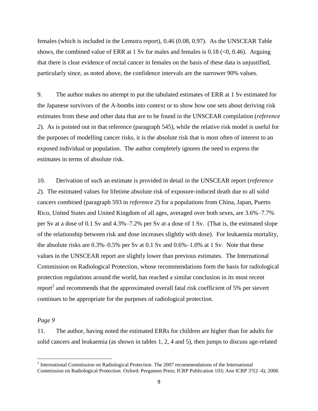females (which is included in the Lemstra report), 0.46 (0.08, 0.97). As the UNSCEAR Table shows, the combined value of ERR at 1 Sv for males and females is 0.18 ( $\lt 0$ , 0.46). Arguing that there is clear evidence of rectal cancer in females on the basis of these data is unjustified, particularly since, as noted above, the confidence intervals are the narrower 90% values.

9. The author makes no attempt to put the tabulated estimates of ERR at 1 Sv estimated for the Japanese survivors of the A-bombs into context or to show how one sets about deriving risk estimates from these and other data that are to be found in the UNSCEAR compilation (*reference 2*). As is pointed out in that reference (paragraph 545), while the relative risk model is useful for the purposes of modelling cancer risks, it is the absolute risk that is most often of interest to an exposed individual or population. The author completely ignores the need to express the estimates in terms of absolute risk.

10. Derivation of such an estimate is provided in detail in the UNSCEAR report (*reference 2*). The estimated values for lifetime absolute risk of exposure-induced death due to all solid cancers combined (paragraph 593 in *reference 2*) for a populations from China, Japan, Puerto Rico, United States and United Kingdom of all ages, averaged over both sexes, are 3.6%–7.7% per Sv at a dose of 0.1 Sv and 4.3%–7.2% per Sv at a dose of 1 Sv. (That is, the estimated slope of the relationship between risk and dose increases slightly with dose). For leukaemia mortality, the absolute risks are 0.3%–0.5% per Sv at 0.1 Sv and 0.6%–1.0% at 1 Sv. Note that these values in the UNSCEAR report are slightly lower than previous estimates. The International Commission on Radiological Protection, whose recommendations form the basis for radiological protection regulations around the world, has reached a similar conclusion in its most recent report<sup>2</sup> and recommends that the approximated overall fatal risk coefficient of 5% per sievert continues to be appropriate for the purposes of radiological protection.

#### *Page 9*

11. The author, having noted the estimated ERRs for children are higher than for adults for solid cancers and leukaemia (as shown in tables 1, 2, 4 and 5), then jumps to discuss age-related

<sup>&</sup>lt;sup>2</sup> International Commission on Radiological Protection. The 2007 recommendations of the International Commission on Radiological Protection. Oxford: Pergamon Press; ICRP Publication 103; Ann ICRP 37(2–4); 2008.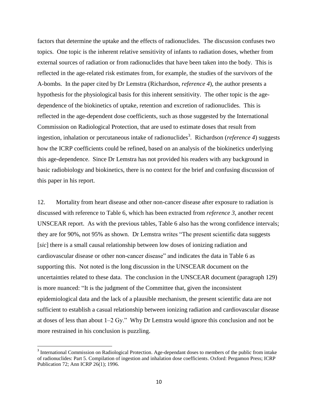factors that determine the uptake and the effects of radionuclides. The discussion confuses two topics. One topic is the inherent relative sensitivity of infants to radiation doses, whether from external sources of radiation or from radionuclides that have been taken into the body. This is reflected in the age-related risk estimates from, for example, the studies of the survivors of the A-bombs. In the paper cited by Dr Lemstra (Richardson, *reference 4*), the author presents a hypothesis for the physiological basis for this inherent sensitivity. The other topic is the agedependence of the biokinetics of uptake, retention and excretion of radionuclides. This is reflected in the age-dependent dose coefficients, such as those suggested by the International Commission on Radiological Protection, that are used to estimate doses that result from ingestion, inhalation or percutaneous intake of radionuclides<sup>3</sup>. Richardson (*reference 4*) suggests how the ICRP coefficients could be refined, based on an analysis of the biokinetics underlying this age-dependence. Since Dr Lemstra has not provided his readers with any background in basic radiobiology and biokinetics, there is no context for the brief and confusing discussion of this paper in his report.

12. Mortality from heart disease and other non-cancer disease after exposure to radiation is discussed with reference to Table 6, which has been extracted from *reference 3*, another recent UNSCEAR report. As with the previous tables, Table 6 also has the wrong confidence intervals; they are for 90%, not 95% as shown. Dr Lemstra writes "The present scientific data suggests [*sic*] there is a small causal relationship between low doses of ionizing radiation and cardiovascular disease or other non-cancer disease" and indicates the data in Table 6 as supporting this. Not noted is the long discussion in the UNSCEAR document on the uncertainties related to these data. The conclusion in the UNSCEAR document (paragraph 129) is more nuanced: "It is the judgment of the Committee that, given the inconsistent epidemiological data and the lack of a plausible mechanism, the present scientific data are not sufficient to establish a casual relationship between ionizing radiation and cardiovascular disease at doses of less than about  $1-2$  Gy." Why Dr Lemstra would ignore this conclusion and not be more restrained in his conclusion is puzzling.

 $\overline{\phantom{a}}$ 

<sup>&</sup>lt;sup>3</sup> International Commission on Radiological Protection. Age-dependant doses to members of the public from intake of radionuclides: Part 5. Compilation of ingestion and inhalation dose coefficients. Oxford: Pergamon Press; ICRP Publication 72; Ann ICRP 26(1); 1996.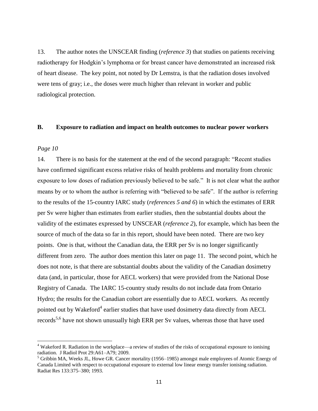13. The author notes the UNSCEAR finding (*reference 3*) that studies on patients receiving radiotherapy for Hodgkin's lymphoma or for breast cancer have demonstrated an increased risk of heart disease. The key point, not noted by Dr Lemstra, is that the radiation doses involved were tens of gray; i.e., the doses were much higher than relevant in worker and public radiological protection.

#### **B. Exposure to radiation and impact on health outcomes to nuclear power workers**

#### *Page 10*

 $\overline{a}$ 

14. There is no basis for the statement at the end of the second paragraph: "Recent studies" have confirmed significant excess relative risks of health problems and mortality from chronic exposure to low doses of radiation previously believed to be safe." It is not clear what the author means by or to whom the author is referring with "believed to be safe". If the author is referring to the results of the 15-country IARC study (*references 5 and 6*) in which the estimates of ERR per Sv were higher than estimates from earlier studies, then the substantial doubts about the validity of the estimates expressed by UNSCEAR (*reference 2*), for example, which has been the source of much of the data so far in this report, should have been noted. There are two key points. One is that, without the Canadian data, the ERR per Sv is no longer significantly different from zero. The author does mention this later on page 11. The second point, which he does not note, is that there are substantial doubts about the validity of the Canadian dosimetry data (and, in particular, those for AECL workers) that were provided from the National Dose Registry of Canada. The IARC 15-country study results do not include data from Ontario Hydro; the results for the Canadian cohort are essentially due to AECL workers. As recently pointed out by Wakeford<sup>4</sup> earlier studies that have used dosimetry data directly from AECL records<sup>5,6</sup> have not shown unusually high ERR per Sv values, whereas those that have used

<sup>4</sup> Wakeford R. Radiation in the workplace—a review of studies of the risks of occupational exposure to ionising radiation. J Radiol Prot 29:A61–A79; 2009.

<sup>&</sup>lt;sup>5</sup> Gribbin MA, Weeks JL, Howe GR. Cancer mortality (1956–1985) amongst male employees of Atomic Energy of Canada Limited with respect to occupational exposure to external low linear energy transfer ionising radiation. Radiat Res 133:375–380; 1993.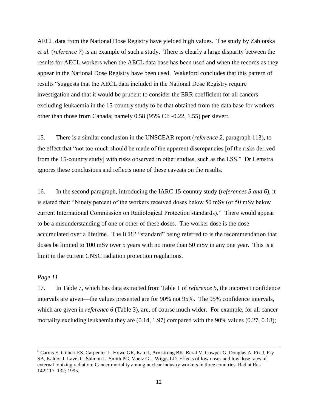AECL data from the National Dose Registry have yielded high values. The study by Zablotska *et al.* (*reference 7*) is an example of such a study. There is clearly a large disparity between the results for AECL workers when the AECL data base has been used and when the records as they appear in the National Dose Registry have been used. Wakeford concludes that this pattern of results "suggests that the AECL data included in the National Dose Registry require investigation and that it would be prudent to consider the ERR coefficient for all cancers excluding leukaemia in the 15-country study to be that obtained from the data base for workers other than those from Canada; namely 0.58 (95% CI: -0.22, 1.55) per sievert.

15. There is a similar conclusion in the UNSCEAR report (*reference 2*, paragraph 113), to the effect that "not too much should be made of the apparent discrepancies [of the risks derived from the 15-country study] with risks observed in other studies, such as the LSS." Dr Lemstra ignores these conclusions and reflects none of these caveats on the results.

16. In the second paragraph, introducing the IARC 15-country study (*references 5 and 6*), it is stated that: "Ninety percent of the workers received doses below 50 mSv (or 50 mSv below current International Commission on Radiological Protection standards)." There would appear to be a misunderstanding of one or other of these doses. The worker dose is the dose accumulated over a lifetime. The ICRP "standard" being referred to is the recommendation that doses be limited to 100 mSv over 5 years with no more than 50 mSv in any one year. This is a limit in the current CNSC radiation protection regulations.

#### *Page 11*

 $\overline{\phantom{a}}$ 

17. In Table 7, which has data extracted from Table 1 of *reference 5*, the incorrect confidence intervals are given—the values presented are for 90% not 95%. The 95% confidence intervals, which are given in *reference 6* (Table 3), are, of course much wider. For example, for all cancer mortality excluding leukaemia they are  $(0.14, 1.97)$  compared with the 90% values  $(0.27, 0.18)$ ;

<sup>6</sup> Cardis E, Gilbert ES, Carpenter L, Howe GR, Kato I, Armstrong BK, Beral V, Cowper G, Douglas A, Fix J, Fry SA, Kaldor J, Lavé, C, Salmon L, Smith PG, Voelz GL, Wiggs LD. Effects of low doses and low dose rates of external ionizing radiation: Cancer mortality among nuclear industry workers in three countries. Radiat Res 142:117–132; 1995.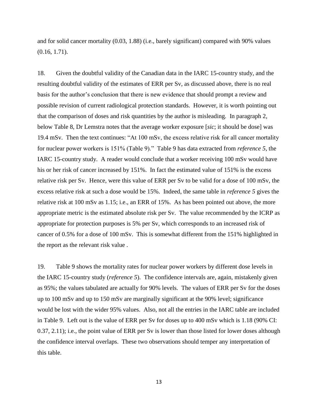and for solid cancer mortality (0.03, 1.88) (i.e., barely significant) compared with 90% values (0.16, 1.71).

18. Given the doubtful validity of the Canadian data in the IARC 15-country study, and the resulting doubtful validity of the estimates of ERR per Sv, as discussed above, there is no real basis for the author's conclusion that there is new evidence that should prompt a review and possible revision of current radiological protection standards. However, it is worth pointing out that the comparison of doses and risk quantities by the author is misleading. In paragraph 2, below Table 8, Dr Lemstra notes that the average worker exposure [*sic*; it should be dose] was 19.4 mSv. Then the text continues: "At 100 mSv, the excess relative risk for all cancer mortality for nuclear power workers is 151% (Table 9)." Table 9 has data extracted from *reference* 5, the IARC 15-country study. A reader would conclude that a worker receiving 100 mSv would have his or her risk of cancer increased by 151%. In fact the estimated value of 151% is the excess relative risk per Sv. Hence, were this value of ERR per Sv to be valid for a dose of 100 mSv, the excess relative risk at such a dose would be 15%. Indeed, the same table in *reference 5* gives the relative risk at 100 mSv as 1.15; i.e., an ERR of 15%. As has been pointed out above, the more appropriate metric is the estimated absolute risk per Sv. The value recommended by the ICRP as appropriate for protection purposes is 5% per Sv, which corresponds to an increased risk of cancer of 0.5% for a dose of 100 mSv. This is somewhat different from the 151% highlighted in the report as the relevant risk value .

19. Table 9 shows the mortality rates for nuclear power workers by different dose levels in the IARC 15-country study (*reference 5*). The confidence intervals are, again, mistakenly given as 95%; the values tabulated are actually for 90% levels. The values of ERR per Sv for the doses up to 100 mSv and up to 150 mSv are marginally significant at the 90% level; significance would be lost with the wider 95% values. Also, not all the entries in the IARC table are included in Table 9. Left out is the value of ERR per Sv for doses up to 400 mSv which is 1.18 (90% CI: 0.37, 2.11); i.e., the point value of ERR per Sv is lower than those listed for lower doses although the confidence interval overlaps. These two observations should temper any interpretation of this table.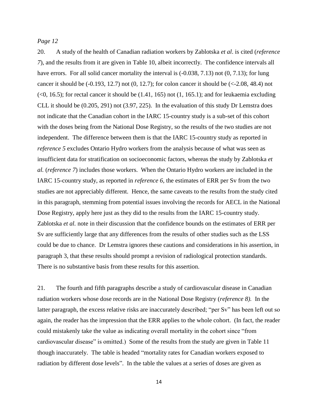#### *Page 12*

20. A study of the health of Canadian radiation workers by Zablotska *et al*. is cited (*reference 7*), and the results from it are given in Table 10, albeit incorrectly. The confidence intervals all have errors. For all solid cancer mortality the interval is  $(-0.038, 7.13)$  not  $(0, 7.13)$ ; for lung cancer it should be  $(-0.193, 12.7)$  not  $(0, 12.7)$ ; for colon cancer it should be  $(\le 2.08, 48.4)$  not  $(\leq 0, 16.5)$ ; for rectal cancer it should be  $(1.41, 165)$  not  $(1, 165.1)$ ; and for leukaemia excluding CLL it should be (0.205, 291) not (3.97, 225). In the evaluation of this study Dr Lemstra does not indicate that the Canadian cohort in the IARC 15-country study is a sub-set of this cohort with the doses being from the National Dose Registry, so the results of the two studies are not independent. The difference between them is that the IARC 15-country study as reported in *reference 5* excludes Ontario Hydro workers from the analysis because of what was seen as insufficient data for stratification on socioeconomic factors, whereas the study by Zablotska *et al.* (*reference 7*) includes those workers. When the Ontario Hydro workers are included in the IARC 15-country study, as reported in *reference 6*, the estimates of ERR per Sv from the two studies are not appreciably different. Hence, the same caveats to the results from the study cited in this paragraph, stemming from potential issues involving the records for AECL in the National Dose Registry, apply here just as they did to the results from the IARC 15-country study. Zablotska *et al.* note in their discussion that the confidence bounds on the estimates of ERR per Sv are sufficiently large that any differences from the results of other studies such as the LSS could be due to chance. Dr Lemstra ignores these cautions and considerations in his assertion, in paragraph 3, that these results should prompt a revision of radiological protection standards. There is no substantive basis from these results for this assertion.

21. The fourth and fifth paragraphs describe a study of cardiovascular disease in Canadian radiation workers whose dose records are in the National Dose Registry (*reference 8).* In the latter paragraph, the excess relative risks are inaccurately described; "per Sv" has been left out so again, the reader has the impression that the ERR applies to the whole cohort. (In fact, the reader could mistakenly take the value as indicating overall mortality in the cohort since "from cardiovascular disease" is omitted.) Some of the results from the study are given in Table 11 though inaccurately. The table is headed "mortality rates for Canadian workers exposed to radiation by different dose levels". In the table the values at a series of doses are given as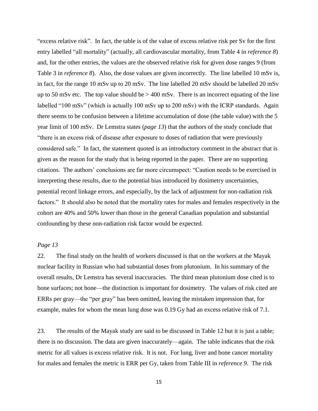"excess relative risk". In fact, the table is of the value of excess relative risk per Sv for the first entry labelled "all mortality" (actually, all cardiovascular mortality, from Table 4 in *reference 8*) and, for the other entries, the values are the observed relative risk for given dose ranges 9 (from Table 3 in *reference 8*). Also, the dose values are given incorrectly. The line labelled 10 mSv is, in fact, for the range 10 mSv up to 20 mSv. The line labelled 20 mSv should be labelled 20 mSv up to 50 mSv etc. The top value should be  $> 400$  mSv. There is an incorrect equating of the line labelled "100 mSv" (which is actually 100 mSv up to 200 mSv) with the ICRP standards. Again there seems to be confusion between a lifetime accumulation of dose (the table value) with the 5 year limit of 100 mSv. Dr Lemstra states (*page 13*) that the authors of the study conclude that ―there is an excess risk of disease after exposure to doses of radiation that were previously considered safe." In fact, the statement quoted is an introductory comment in the abstract that is given as the reason for the study that is being reported in the paper. There are no supporting citations. The authors' conclusions are far more circumspect: "Caution needs to be exercised in interpreting these results, due to the potential bias introduced by dosimetry uncertainties, potential record linkage errors, and especially, by the lack of adjustment for non-radiation risk factors." It should also be noted that the mortality rates for males and females respectively in the cohort are 40% and 50% lower than those in the general Canadian population and substantial confounding by these non-radiation risk factor would be expected.

#### *Page 13*

22. The final study on the health of workers discussed is that on the workers at the Mayak nuclear facility in Russian who had substantial doses from plutonium. In his summary of the overall results, Dr Lemstra has several inaccuracies. The third mean plutonium dose cited is to bone surfaces; not bone—the distinction is important for dosimetry. The values of risk cited are ERRs per gray—the "per gray" has been omitted, leaving the mistaken impression that, for example, males for whom the mean lung dose was 0.19 Gy had an excess relative risk of 7.1.

23. The results of the Mayak study are said to be discussed in Table 12 but it is just a table; there is no discussion. The data are given inaccurately—again. The table indicates that the risk metric for all values is excess relative risk. It is not. For lung, liver and bone cancer mortality for males and females the metric is ERR per Gy, taken from Table III in *reference 9*. The risk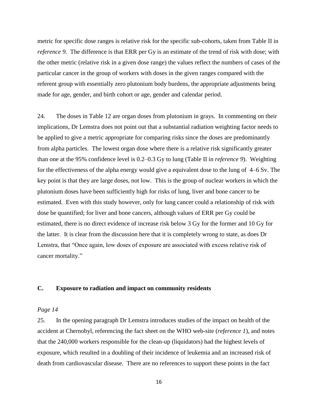metric for specific dose ranges is relative risk for the specific sub-cohorts, taken from Table II in *reference 9.* The difference is that ERR per Gy is an estimate of the trend of risk with dose; with the other metric (relative risk in a given dose range) the values reflect the numbers of cases of the particular cancer in the group of workers with doses in the given ranges compared with the referent group with essentially zero plutonium body burdens, the appropriate adjustments being made for age, gender, and birth cohort or age, gender and calendar period.

24. The doses in Table 12 are organ doses from plutonium in grays. In commenting on their implications, Dr Lemstra does not point out that a substantial radiation weighting factor needs to be applied to give a metric appropriate for comparing risks since the doses are predominantly from alpha particles. The lowest organ dose where there is a relative risk significantly greater than one at the 95% confidence level is 0.2–0.3 Gy to lung (Table II in *reference 9*). Weighting for the effectiveness of the alpha energy would give a equivalent dose to the lung of 4–6 Sv. The key point is that they are large doses, not low. This is the group of nuclear workers in which the plutonium doses have been sufficiently high for risks of lung, liver and bone cancer to be estimated. Even with this study however, only for lung cancer could a relationship of risk with dose be quantified; for liver and bone cancers, although values of ERR per Gy could be estimated, there is no direct evidence of increase risk below 3 Gy for the former and 10 Gy for the latter. It is clear from the discussion here that it is completely wrong to state, as does Dr Lemstra, that "Once again, low doses of exposure are associated with excess relative risk of cancer mortality."

#### **C. Exposure to radiation and impact on community residents**

#### *Page 14*

25. In the opening paragraph Dr Lemstra introduces studies of the impact on health of the accident at Chernobyl, referencing the fact sheet on the WHO web-site (*reference 1*), and notes that the 240,000 workers responsible for the clean-up (liquidators) had the highest levels of exposure, which resulted in a doubling of their incidence of leukemia and an increased risk of death from cardiovascular disease. There are no references to support these points in the fact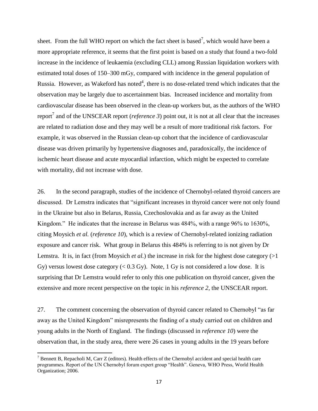sheet. From the full WHO report on which the fact sheet is based<sup>7</sup>, which would have been a more appropriate reference, it seems that the first point is based on a study that found a two-fold increase in the incidence of leukaemia (excluding CLL) among Russian liquidation workers with estimated total doses of 150–300 mGy, compared with incidence in the general population of Russia. However, as Wakeford has noted<sup>4</sup>, there is no dose-related trend which indicates that the observation may be largely due to ascertainment bias. Increased incidence and mortality from cardiovascular disease has been observed in the clean-up workers but, as the authors of the WHO report<sup>7</sup> and of the UNSCEAR report (*reference 3*) point out, it is not at all clear that the increases are related to radiation dose and they may well be a result of more traditional risk factors. For example, it was observed in the Russian clean-up cohort that the incidence of cardiovascular disease was driven primarily by hypertensive diagnoses and, paradoxically, the incidence of ischemic heart disease and acute myocardial infarction, which might be expected to correlate with mortality, did not increase with dose.

26. In the second paragraph, studies of the incidence of Chernobyl-related thyroid cancers are discussed. Dr Lemstra indicates that "significant increases in thyroid cancer were not only found in the Ukraine but also in Belarus, Russia, Czechoslovakia and as far away as the United Kingdom." He indicates that the increase in Belarus was 484%, with a range 96% to 1630%, citing Moysich *et al.* (*reference 10*), which is a review of Chernobyl-related ionizing radiation exposure and cancer risk. What group in Belarus this 484% is referring to is not given by Dr Lemstra. It is, in fact (from Moysich *et al.*) the increase in risk for the highest dose category (>1 Gy) versus lowest dose category  $(< 0.3 \text{ Gy})$ . Note, 1 Gy is not considered a low dose. It is surprising that Dr Lemstra would refer to only this one publication on thyroid cancer, given the extensive and more recent perspective on the topic in his *reference 2*, the UNSCEAR report.

27. The comment concerning the observation of thyroid cancer related to Chernobyl "as far away as the United Kingdom" misrepresents the finding of a study carried out on children and young adults in the North of England. The findings (discussed in *reference 10*) were the observation that, in the study area, there were 26 cases in young adults in the 19 years before

 $\overline{\phantom{a}}$ 

<sup>&</sup>lt;sup>7</sup> Bennett B, Repacholi M, Carr Z (editors). Health effects of the Chernobyl accident and special health care programmes. Report of the UN Chernobyl forum expert group "Health". Geneva, WHO Press, World Health Organization; 2006.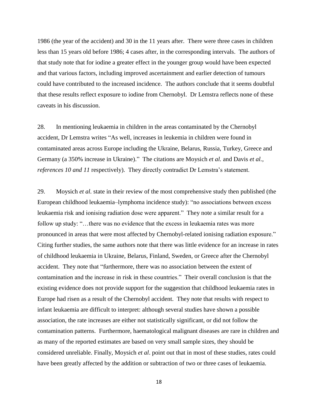1986 (the year of the accident) and 30 in the 11 years after. There were three cases in children less than 15 years old before 1986; 4 cases after, in the corresponding intervals. The authors of that study note that for iodine a greater effect in the younger group would have been expected and that various factors, including improved ascertainment and earlier detection of tumours could have contributed to the increased incidence. The authors conclude that it seems doubtful that these results reflect exposure to iodine from Chernobyl. Dr Lemstra reflects none of these caveats in his discussion.

28. In mentioning leukaemia in children in the areas contaminated by the Chernobyl accident, Dr Lemstra writes "As well, increases in leukemia in children were found in contaminated areas across Europe including the Ukraine, Belarus, Russia, Turkey, Greece and Germany (a 350% increase in Ukraine)." The citations are Moysich *et al.* and Davis *et al.*, *references 10 and 11* respectively). They directly contradict Dr Lemstra's statement.

29. Moysich *et al.* state in their review of the most comprehensive study then published (the European childhood leukaemia–lymphoma incidence study): "no associations between excess leukaemia risk and ionising radiation dose were apparent." They note a similar result for a follow up study: "...there was no evidence that the excess in leukaemia rates was more pronounced in areas that were most affected by Chernobyl-related ionising radiation exposure." Citing further studies, the same authors note that there was little evidence for an increase in rates of childhood leukaemia in Ukraine, Belarus, Finland, Sweden, or Greece after the Chernobyl accident. They note that "furthermore, there was no association between the extent of contamination and the increase in risk in these countries." Their overall conclusion is that the existing evidence does not provide support for the suggestion that childhood leukaemia rates in Europe had risen as a result of the Chernobyl accident. They note that results with respect to infant leukaemia are difficult to interpret: although several studies have shown a possible association, the rate increases are either not statistically significant, or did not follow the contamination patterns. Furthermore, haematological malignant diseases are rare in children and as many of the reported estimates are based on very small sample sizes, they should be considered unreliable. Finally, Moysich *et al*. point out that in most of these studies, rates could have been greatly affected by the addition or subtraction of two or three cases of leukaemia.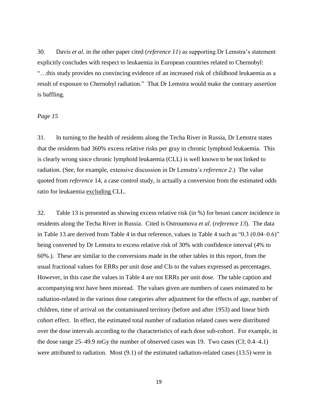30. Davis *et al.* in the other paper cited (*reference 11*) as supporting Dr Lemstra's statement explicitly concludes with respect to leukaemia in European countries related to Chernobyl: ―…this study provides no convincing evidence of an increased risk of childhood leukaemia as a result of exposure to Chernobyl radiation." That Dr Lemstra would make the contrary assertion is baffling.

#### *Page 15*

31. In turning to the health of residents along the Techa River in Russia, Dr Lemstra states that the residents had 360% excess relative risks per gray in chronic lymphoid leukaemia. This is clearly wrong since chronic lymphoid leukaemia (CLL) is well known to be not linked to radiation. (See, for example, extensive discussion in Dr Lemstra's *reference 2*.) The value quoted from *reference* 14, a case control study, is actually a conversion from the estimated odds ratio for leukaemia excluding CLL.

32. Table 13 is presented as showing excess relative risk (in %) for breast cancer incidence in residents along the Techa River in Russia. Cited is Ostroumova *et al.* (*reference 13*). The data in Table 13 are derived from Table 4 in that reference, values in Table 4 such as  $(0.3 (0.04 - 0.6))^2$ being converted by Dr Lemstra to excess relative risk of 30% with confidence interval (4% to 60%.). These are similar to the conversions made in the other tables in this report, from the usual fractional values for ERRs per unit dose and CIs to the values expressed as percentages. However, in this case the values in Table 4 are not ERRs per unit dose. The table caption and accompanying text have been misread. The values given are numbers of cases estimated to be radiation-related in the various dose categories after adjustment for the effects of age, number of children, time of arrival on the contaminated territory (before and after 1953) and linear birth cohort effect. In effect, the estimated total number of radiation related cases were distributed over the dose intervals according to the characteristics of each dose sub-cohort. For example, in the dose range 25–49.9 mGy the number of observed cases was 19. Two cases (CI; 0.4–4.1) were attributed to radiation. Most (9.1) of the estimated radiation-related cases (13.5) were in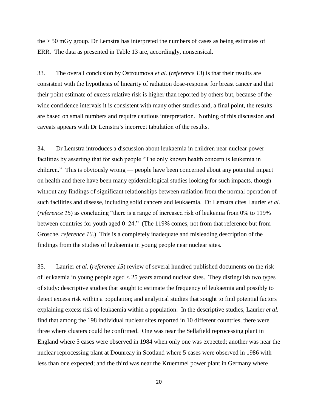the > 50 mGy group. Dr Lemstra has interpreted the numbers of cases as being estimates of ERR. The data as presented in Table 13 are, accordingly, nonsensical.

33. The overall conclusion by Ostroumova *et al.* (*reference 13*) is that their results are consistent with the hypothesis of linearity of radiation dose-response for breast cancer and that their point estimate of excess relative risk is higher than reported by others but, because of the wide confidence intervals it is consistent with many other studies and, a final point, the results are based on small numbers and require cautious interpretation. Nothing of this discussion and caveats appears with Dr Lemstra's incorrect tabulation of the results.

34. Dr Lemstra introduces a discussion about leukaemia in children near nuclear power facilities by asserting that for such people "The only known health concern is leukemia in children." This is obviously wrong — people have been concerned about any potential impact on health and there have been many epidemiological studies looking for such impacts, though without any findings of significant relationships between radiation from the normal operation of such facilities and disease, including solid cancers and leukaemia. Dr Lemstra cites Laurier *et al.* (*reference 15*) as concluding "there is a range of increased risk of leukemia from 0% to 119% between countries for youth aged 0–24." (The 119% comes, not from that reference but from Grosche, *reference 16*.) This is a completely inadequate and misleading description of the findings from the studies of leukaemia in young people near nuclear sites.

35. Laurier *et al.* (*reference 15*) review of several hundred published documents on the risk of leukaemia in young people aged < 25 years around nuclear sites. They distinguish two types of study: descriptive studies that sought to estimate the frequency of leukaemia and possibly to detect excess risk within a population; and analytical studies that sought to find potential factors explaining excess risk of leukaemia within a population. In the descriptive studies, Laurier *et al.* find that among the 198 individual nuclear sites reported in 10 different countries, there were three where clusters could be confirmed. One was near the Sellafield reprocessing plant in England where 5 cases were observed in 1984 when only one was expected; another was near the nuclear reprocessing plant at Dounreay in Scotland where 5 cases were observed in 1986 with less than one expected; and the third was near the Kruemmel power plant in Germany where